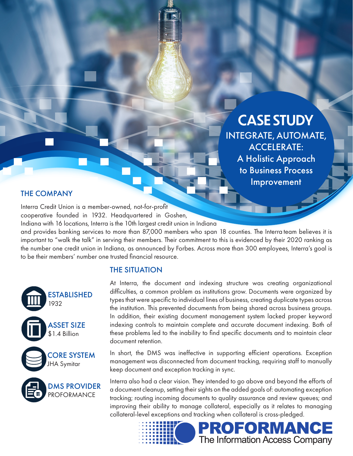CASE STUDY INTEGRATE, AUTOMATE, ACCELERATE: A Holistic Approach to Business Process Improvement

## THE COMPANY

Interra Credit Union is a member-owned, not-for-profit cooperative founded in 1932. Headquartered in Goshen,

Indiana with 16 locations, Interra is the 10th largest credit union in Indiana

and provides banking services to more than 87,000 members who span 18 counties. The Interra team believes it is important to "walk the talk" in serving their members. Their commitment to this is evidenced by their 2020 ranking as the number one credit union in Indiana, as announced by Forbes. Across more than 300 employees, Interra's goal is to be their members' number one trusted financial resource.

## THE SITUATION

At Interra, the document and indexing structure was creating organizational difficulties, a common problem as institutions grow. Documents were organized by types that were specific to individual lines of business, creating duplicate types across the institution. This prevented documents from being shared across business groups. In addition, their existing document management system lacked proper keyword indexing controls to maintain complete and accurate document indexing. Both of these problems led to the inability to find specific documents and to maintain clear document retention.

In short, the DMS was ineffective in supporting efficient operations. Exception management was disconnected from document tracking, requiring staff to manually keep document and exception tracking in sync.

Interra also had a clear vision. They intended to go above and beyond the efforts of a document cleanup, setting their sights on the added goals of: automating exception tracking; routing incoming documents to quality assurance and review queues; and improving their ability to manage collateral, especially as it relates to managing collateral-level exceptions and tracking when collateral is cross-pledged.